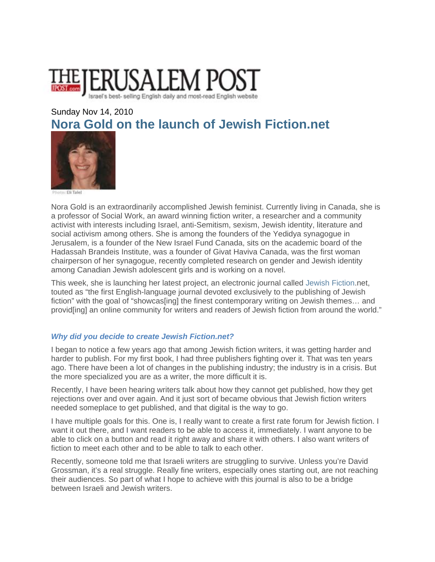

# Sunday Nov 14, 2010 **Nora Gold on the launch of Jewish Fiction.net**



Nora Gold is an extraordinarily accomplished Jewish feminist. Currently living in Canada, she is a professor of Social Work, an award winning fiction writer, a researcher and a community activist with interests including Israel, anti-Semitism, sexism, Jewish identity, literature and social activism among others. She is among the founders of the Yedidya synagogue in Jerusalem, is a founder of the New Israel Fund Canada, sits on the academic board of the Hadassah Brandeis Institute, was a founder of Givat Haviva Canada, was the first woman chairperson of her synagogue, recently completed research on gender and Jewish identity among Canadian Jewish adolescent girls and is working on a novel.

This week, she is launching her latest project, an electronic journal called Jewish Fiction.net, touted as "the first English-language journal devoted exclusively to the publishing of Jewish fiction" with the goal of "showcas[ing] the finest contemporary writing on Jewish themes... and provid[ing] an online community for writers and readers of Jewish fiction from around the world."

# *Why did you decide to create Jewish Fiction.net?*

I began to notice a few years ago that among Jewish fiction writers, it was getting harder and harder to publish. For my first book, I had three publishers fighting over it. That was ten years ago. There have been a lot of changes in the publishing industry; the industry is in a crisis. But the more specialized you are as a writer, the more difficult it is.

Recently, I have been hearing writers talk about how they cannot get published, how they get rejections over and over again. And it just sort of became obvious that Jewish fiction writers needed someplace to get published, and that digital is the way to go.

I have multiple goals for this. One is, I really want to create a first rate forum for Jewish fiction. I want it out there, and I want readers to be able to access it, immediately. I want anyone to be able to click on a button and read it right away and share it with others. I also want writers of fiction to meet each other and to be able to talk to each other.

Recently, someone told me that Israeli writers are struggling to survive. Unless you're David Grossman, it's a real struggle. Really fine writers, especially ones starting out, are not reaching their audiences. So part of what I hope to achieve with this journal is also to be a bridge between Israeli and Jewish writers.